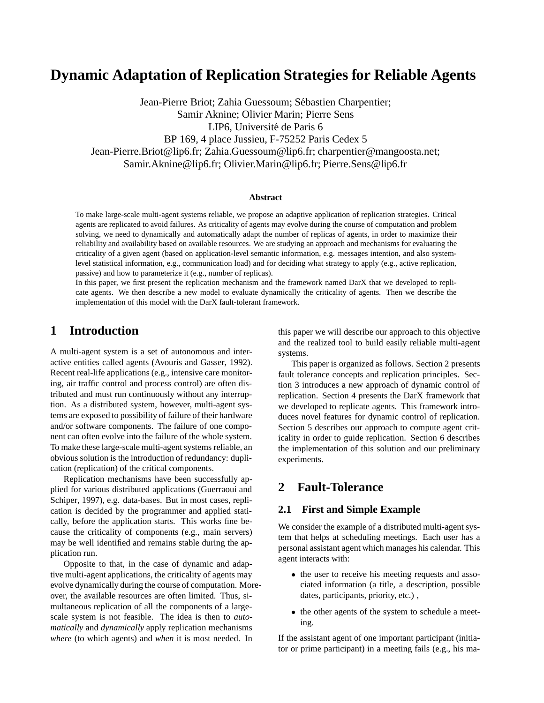# **Dynamic Adaptation of Replication Strategies for Reliable Agents**

Jean-Pierre Briot; Zahia Guessoum; Sébastien Charpentier; Samir Aknine; Olivier Marin; Pierre Sens LIP6, Université de Paris 6 BP 169, 4 place Jussieu, F-75252 Paris Cedex 5 Jean-Pierre.Briot@lip6.fr; Zahia.Guessoum@lip6.fr; charpentier@mangoosta.net; Samir.Aknine@lip6.fr; Olivier.Marin@lip6.fr; Pierre.Sens@lip6.fr

#### **Abstract**

To make large-scale multi-agent systems reliable, we propose an adaptive application of replication strategies. Critical agents are replicated to avoid failures. As criticality of agents may evolve during the course of computation and problem solving, we need to dynamically and automatically adapt the number of replicas of agents, in order to maximize their reliability and availability based on available resources. We are studying an approach and mechanisms for evaluating the criticality of a given agent (based on application-level semantic information, e.g. messages intention, and also systemlevel statistical information, e.g., communication load) and for deciding what strategy to apply (e.g., active replication, passive) and how to parameterize it (e.g., number of replicas).

In this paper, we first present the replication mechanism and the framework named DarX that we developed to replicate agents. We then describe a new model to evaluate dynamically the criticality of agents. Then we describe the implementation of this model with the DarX fault-tolerant framework.

## **1 Introduction**

A multi-agent system is a set of autonomous and interactive entities called agents (Avouris and Gasser, 1992). Recent real-life applications (e.g., intensive care monitoring, air traffic control and process control) are often distributed and must run continuously without any interruption. As a distributed system, however, multi-agent systems are exposed to possibility of failure of their hardware and/or software components. The failure of one component can often evolve into the failure of the whole system. To make these large-scale multi-agent systems reliable, an obvious solution is the introduction of redundancy: duplication (replication) of the critical components.

Replication mechanisms have been successfully applied for various distributed applications (Guerraoui and Schiper, 1997), e.g. data-bases. But in most cases, replication is decided by the programmer and applied statically, before the application starts. This works fine because the criticality of components (e.g., main servers) may be well identified and remains stable during the application run.

Opposite to that, in the case of dynamic and adaptive multi-agent applications, the criticality of agents may evolve dynamically during the course of computation. Moreover, the available resources are often limited. Thus, simultaneous replication of all the components of a largescale system is not feasible. The idea is then to *automatically* and *dynamically* apply replication mechanisms *where* (to which agents) and *when* it is most needed. In

this paper we will describe our approach to this objective and the realized tool to build easily reliable multi-agent systems.

This paper is organized as follows. Section 2 presents fault tolerance concepts and replication principles. Section 3 introduces a new approach of dynamic control of replication. Section 4 presents the DarX framework that we developed to replicate agents. This framework introduces novel features for dynamic control of replication. Section 5 describes our approach to compute agent criticality in order to guide replication. Section 6 describes the implementation of this solution and our preliminary experiments.

## **2 Fault-Tolerance**

#### **2.1 First and Simple Example**

We consider the example of a distributed multi-agent system that helps at scheduling meetings. Each user has a personal assistant agent which manages his calendar. This agent interacts with:

- the user to receive his meeting requests and associated information (a title, a description, possible dates, participants, priority, etc.) ,
- the other agents of the system to schedule a meeting.

If the assistant agent of one important participant (initiator or prime participant) in a meeting fails (e.g., his ma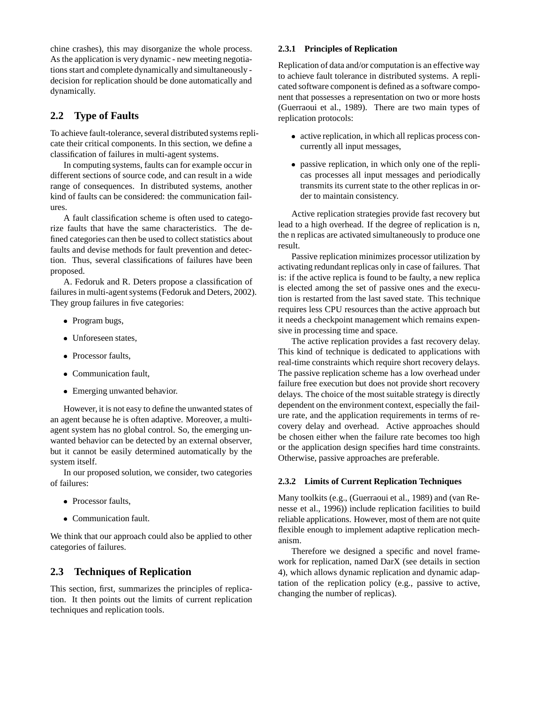chine crashes), this may disorganize the whole process. As the application is very dynamic - new meeting negotiations start and complete dynamically and simultaneously decision for replication should be done automatically and dynamically.

#### **2.2 Type of Faults**

To achieve fault-tolerance, several distributed systems replicate their critical components. In this section, we define a classification of failures in multi-agent systems.

In computing systems, faults can for example occur in different sections of source code, and can result in a wide range of consequences. In distributed systems, another kind of faults can be considered: the communication failures.

A fault classification scheme is often used to categorize faults that have the same characteristics. The defined categories can then be used to collect statistics about faults and devise methods for fault prevention and detection. Thus, several classifications of failures have been proposed.

A. Fedoruk and R. Deters propose a classification of failures in multi-agent systems (Fedoruk and Deters, 2002). They group failures in five categories:

- Program bugs,
- Unforeseen states,
- Processor faults,
- Communication fault.
- Emerging unwanted behavior.

However, it is not easy to define the unwanted states of an agent because he is often adaptive. Moreover, a multiagent system has no global control. So, the emerging unwanted behavior can be detected by an external observer, but it cannot be easily determined automatically by the system itself.

In our proposed solution, we consider, two categories of failures:

- Processor faults.
- Communication fault.

We think that our approach could also be applied to other categories of failures.

#### **2.3 Techniques of Replication**

This section, first, summarizes the principles of replication. It then points out the limits of current replication techniques and replication tools.

#### **2.3.1 Principles of Replication**

Replication of data and/or computation is an effective way to achieve fault tolerance in distributed systems. A replicated software component is defined as a software component that possesses a representation on two or more hosts (Guerraoui et al., 1989). There are two main types of replication protocols:

- active replication, in which all replicas process concurrently all input messages,
- passive replication, in which only one of the replicas processes all input messages and periodically transmits its current state to the other replicas in order to maintain consistency.

Active replication strategies provide fast recovery but lead to a high overhead. If the degree of replication is n, the n replicas are activated simultaneously to produce one result.

Passive replication minimizes processor utilization by activating redundant replicas only in case of failures. That is: if the active replica is found to be faulty, a new replica is elected among the set of passive ones and the execution is restarted from the last saved state. This technique requires less CPU resources than the active approach but it needs a checkpoint management which remains expensive in processing time and space.

The active replication provides a fast recovery delay. This kind of technique is dedicated to applications with real-time constraints which require short recovery delays. The passive replication scheme has a low overhead under failure free execution but does not provide short recovery delays. The choice of the most suitable strategy is directly dependent on the environment context, especially the failure rate, and the application requirements in terms of recovery delay and overhead. Active approaches should be chosen either when the failure rate becomes too high or the application design specifies hard time constraints. Otherwise, passive approaches are preferable.

#### **2.3.2 Limits of Current Replication Techniques**

Many toolkits (e.g., (Guerraoui et al., 1989) and (van Renesse et al., 1996)) include replication facilities to build reliable applications. However, most of them are not quite flexible enough to implement adaptive replication mechanism.

Therefore we designed a specific and novel framework for replication, named DarX (see details in section 4), which allows dynamic replication and dynamic adaptation of the replication policy (e.g., passive to active, changing the number of replicas).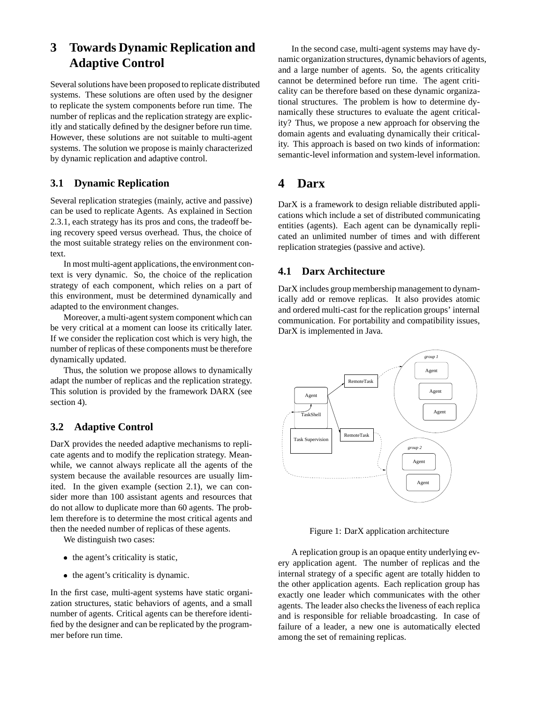## **3 Towards Dynamic Replication and Adaptive Control**

Several solutions have been proposed to replicate distributed systems. These solutions are often used by the designer to replicate the system components before run time. The number of replicas and the replication strategy are explicitly and statically defined by the designer before run time. However, these solutions are not suitable to multi-agent systems. The solution we propose is mainly characterized by dynamic replication and adaptive control.

#### **3.1 Dynamic Replication**

Several replication strategies (mainly, active and passive) can be used to replicate Agents. As explained in Section 2.3.1, each strategy has its pros and cons, the tradeoff being recovery speed versus overhead. Thus, the choice of the most suitable strategy relies on the environment context.

In most multi-agent applications, the environment context is very dynamic. So, the choice of the replication strategy of each component, which relies on a part of this environment, must be determined dynamically and adapted to the environment changes.

Moreover, a multi-agent system component which can be very critical at a moment can loose its critically later. If we consider the replication cost which is very high, the number of replicas of these components must be therefore dynamically updated.

Thus, the solution we propose allows to dynamically adapt the number of replicas and the replication strategy. This solution is provided by the framework DARX (see section 4).

### **3.2 Adaptive Control**

DarX provides the needed adaptive mechanisms to replicate agents and to modify the replication strategy. Meanwhile, we cannot always replicate all the agents of the system because the available resources are usually limited. In the given example (section 2.1), we can consider more than 100 assistant agents and resources that do not allow to duplicate more than 60 agents. The problem therefore is to determine the most critical agents and then the needed number of replicas of these agents.

We distinguish two cases:

- the agent's criticality is static,
- the agent's criticality is dynamic.

In the first case, multi-agent systems have static organization structures, static behaviors of agents, and a small number of agents. Critical agents can be therefore identified by the designer and can be replicated by the programmer before run time.

In the second case, multi-agent systems may have dynamic organization structures, dynamic behaviors of agents, and a large number of agents. So, the agents criticality cannot be determined before run time. The agent criticality can be therefore based on these dynamic organizational structures. The problem is how to determine dynamically these structures to evaluate the agent criticality? Thus, we propose a new approach for observing the domain agents and evaluating dynamically their criticality. This approach is based on two kinds of information: semantic-level information and system-level information.

## **4 Darx**

DarX is a framework to design reliable distributed applications which include a set of distributed communicating entities (agents). Each agent can be dynamically replicated an unlimited number of times and with different replication strategies (passive and active).

### **4.1 Darx Architecture**

DarX includes group membership management to dynamically add or remove replicas. It also provides atomic and ordered multi-cast for the replication groups' internal communication. For portability and compatibility issues, DarX is implemented in Java.



Figure 1: DarX application architecture

A replication group is an opaque entity underlying every application agent. The number of replicas and the internal strategy of a specific agent are totally hidden to the other application agents. Each replication group has exactly one leader which communicates with the other agents. The leader also checks the liveness of each replica and is responsible for reliable broadcasting. In case of failure of a leader, a new one is automatically elected among the set of remaining replicas.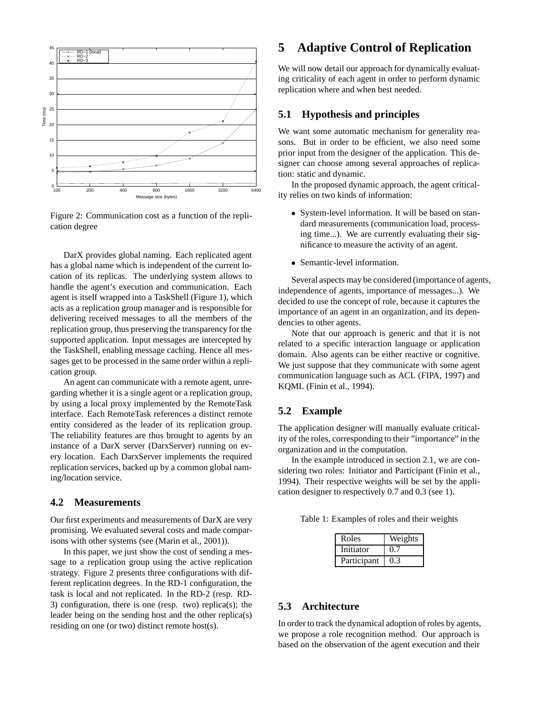

Figure 2: Communication cost as a function of the replication degree

DarX provides global naming. Each replicated agent has a global name which is independent of the current location of its replicas. The underlying system allows to handle the agent's execution and communication. Each agent is itself wrapped into a TaskShell (Figure 1), which acts as a replication group manager and is responsible for delivering received messages to all the members of the replication group, thus preserving the transparency for the supported application. Input messages are intercepted by the TaskShell, enabling message caching. Hence all messages get to be processed in the same order within a replication group.

An agent can communicate with a remote agent, unregarding whether it is a single agent or a replication group, by using a local proxy implemented by the RemoteTask interface. Each RemoteTask references a distinct remote entity considered as the leader of its replication group. The reliability features are thus brought to agents by an instance of a DarX server (DarxServer) running on every location. Each DarxServer implements the required replication services, backed up by a common global naming/location service.

#### **4.2 Measurements**

Our first experiments and measurements of DarX are very promising. We evaluated several costs and made comparisons with other systems (see (Marin et al., 2001)).

In this paper, we just show the cost of sending a message to a replication group using the active replication strategy. Figure 2 presents three configurations with different replication degrees. In the RD-1 configuration, the task is local and not replicated. In the RD-2 (resp. RD-3) configuration, there is one (resp. two) replica(s); the leader being on the sending host and the other replica(s) residing on one (or two) distinct remote host(s).

## **5 Adaptive Control of Replication**

We will now detail our approach for dynamically evaluating criticality of each agent in order to perform dynamic replication where and when best needed.

#### **5.1 Hypothesis and principles**

We want some automatic mechanism for generality reasons. But in order to be efficient, we also need some prior input from the designer of the application. This designer can choose among several approaches of replication: static and dynamic.

In the proposed dynamic approach, the agent criticality relies on two kinds of information:

- System-level information. It will be based on standard measurements (communication load, processing time...). We are currently evaluating their significance to measure the activity of an agent.
- Semantic-level information.

Several aspects may be considered (importance of agents, independence of agents, importance of messages...). We decided to use the concept of role, because it captures the importance of an agent in an organization, and its dependencies to other agents.

Note that our approach is generic and that it is not related to a specific interaction language or application domain. Also agents can be either reactive or cognitive. We just suppose that they communicate with some agent communication language such as ACL (FIPA, 1997) and KQML (Finin et al., 1994).

#### **5.2 Example**

The application designer will manually evaluate criticality of the roles, corresponding to their "importance" in the organization and in the computation.

In the example introduced in section 2.1, we are considering two roles: Initiator and Participant (Finin et al., 1994). Their respective weights will be set by the application designer to respectively 0.7 and 0.3 (see 1).

|  |  | Table 1: Examples of roles and their weights |  |  |
|--|--|----------------------------------------------|--|--|
|--|--|----------------------------------------------|--|--|

| Roles       | Weights |
|-------------|---------|
| Initiator   | 0.7     |
| Participant | 0.3     |

#### **5.3 Architecture**

In order to track the dynamical adoption of roles by agents, we propose a role recognition method. Our approach is based on the observation of the agent execution and their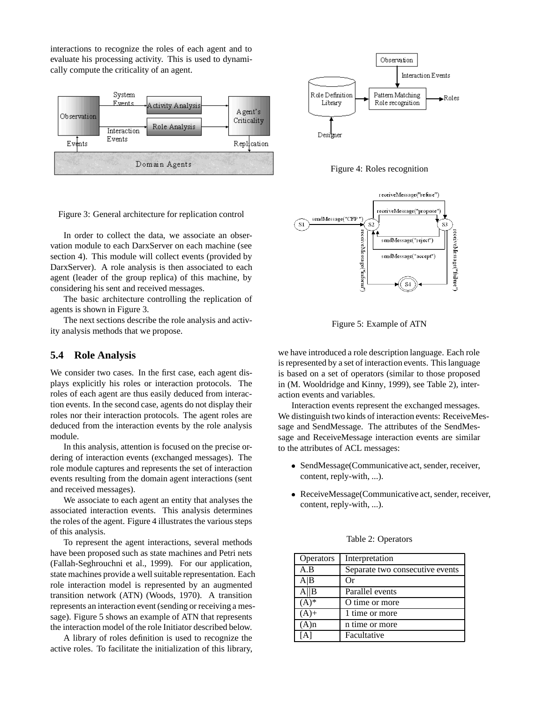interactions to recognize the roles of each agent and to evaluate his processing activity. This is used to dynamically compute the criticality of an agent.





Figure 4: Roles recognition



Figure 3: General architecture for replication control

In order to collect the data, we associate an observation module to each DarxServer on each machine (see section 4). This module will collect events (provided by DarxServer). A role analysis is then associated to each agent (leader of the group replica) of this machine, by considering his sent and received messages.

The basic architecture controlling the replication of agents is shown in Figure 3.

The next sections describe the role analysis and activity analysis methods that we propose.

#### **5.4 Role Analysis**

We consider two cases. In the first case, each agent displays explicitly his roles or interaction protocols. The roles of each agent are thus easily deduced from interaction events. In the second case, agents do not display their roles nor their interaction protocols. The agent roles are deduced from the interaction events by the role analysis module.

In this analysis, attention is focused on the precise ordering of interaction events (exchanged messages). The role module captures and represents the set of interaction events resulting from the domain agent interactions (sent and received messages).

We associate to each agent an entity that analyses the associated interaction events. This analysis determines the roles of the agent. Figure 4 illustrates the various steps of this analysis.

To represent the agent interactions, several methods have been proposed such as state machines and Petri nets (Fallah-Seghrouchni et al., 1999). For our application, state machines provide a well suitable representation. Each role interaction model is represented by an augmented transition network (ATN) (Woods, 1970). A transition represents an interaction event (sending or receiving a message). Figure 5 shows an example of ATN that represents the interaction model of the role Initiator described below.

A library of roles definition is used to recognize the active roles. To facilitate the initialization of this library,

Figure 5: Example of ATN

we have introduced a role description language. Each role is represented by a set of interaction events. This language is based on a set of operators (similar to those proposed in (M. Wooldridge and Kinny, 1999), see Table 2), interaction events and variables.

Interaction events represent the exchanged messages. We distinguish two kinds of interaction events: ReceiveMessage and SendMessage. The attributes of the SendMessage and ReceiveMessage interaction events are similar to the attributes of ACL messages:

- SendMessage(Communicative act, sender, receiver, content, reply-with, ...).
- ReceiveMessage(Communicative act, sender, receiver, content, reply-with, ...).

| <b>Operators</b> | Interpretation                  |
|------------------|---------------------------------|
| A.B              | Separate two consecutive events |
| A B              | Оr                              |
| A  B             | Parallel events                 |
| $(A)^*$          | O time or more                  |
| $(A) +$          | 1 time or more                  |
| $(A)$ n          | n time or more                  |
|                  | Facultative                     |

Table 2: Operators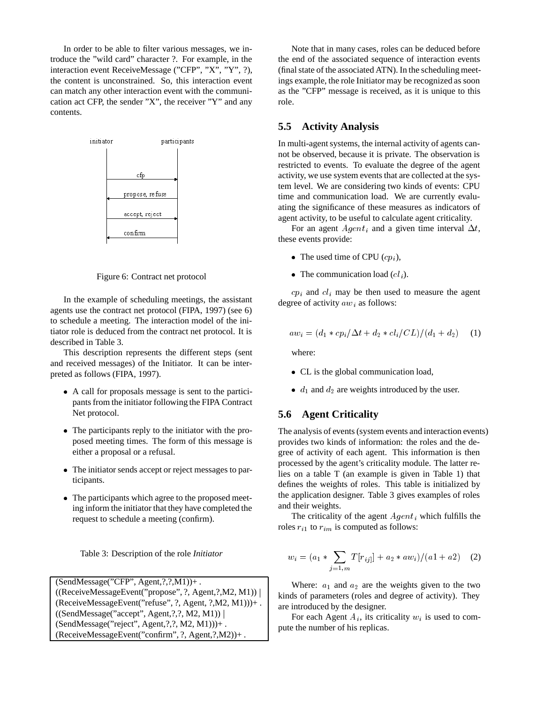In order to be able to filter various messages, we introduce the "wild card" character ?. For example, in the interaction event ReceiveMessage ("CFP", "X", "Y", ?), the content is unconstrained. So, this interaction event can match any other interaction event with the communication act CFP, the sender "X", the receiver "Y" and any contents.



Figure 6: Contract net protocol

In the example of scheduling meetings, the assistant agents use the contract net protocol (FIPA, 1997) (see 6) to schedule a meeting. The interaction model of the initiator role is deduced from the contract net protocol. It is described in Table 3.

This description represents the different steps (sent and received messages) of the Initiator. It can be interpreted as follows (FIPA, 1997).

- A call for proposals message is sent to the participants from the initiator following the FIPA Contract Net protocol.
- The participants reply to the initiator with the proposed meeting times. The form of this message is either a proposal or a refusal.
- The initiator sends accept or reject messages to participants.
- The participants which agree to the proposed meeting inform the initiator that they have completed the request to schedule a meeting (confirm).

|  | Table 3: Description of the role Initiator |  |  |
|--|--------------------------------------------|--|--|
|--|--------------------------------------------|--|--|

(SendMessage("CFP", Agent,?,?,M1))+ .  $((\text{ReceiveMessageEvent("propose", ?, Agent,?,M2, M1))$ (ReceiveMessageEvent("refuse", ?, Agent, ?,M2, M1)))+ . ((SendMessage("accept", Agent,?,?, M2, M1)) <sup>j</sup> (SendMessage("reject", Agent,?,?, M2, M1)))+ . (ReceiveMessageEvent("confirm", ?, Agent,?,M2))+ .

Note that in many cases, roles can be deduced before the end of the associated sequence of interaction events (final state of the associated ATN). In the scheduling meetings example, the role Initiator may be recognized as soon as the "CFP" message is received, as it is unique to this role.

#### **5.5 Activity Analysis**

In multi-agent systems, the internal activity of agents cannot be observed, because it is private. The observation is restricted to events. To evaluate the degree of the agent activity, we use system events that are collected at the system level. We are considering two kinds of events: CPU time and communication load. We are currently evaluating the significance of these measures as indicators of agent activity, to be useful to calculate agent criticality.

For an agent  $Agent_i$  and a given time interval  $\Delta t$ , these events provide:

- The used time of CPU  $(cp_i)$ ,
- The communication load  $(cl_i)$ .

 $cp<sub>i</sub>$  and  $cl<sub>i</sub>$  may be then used to measure the agent degree of activity  $aw_i$  as follows:

$$
aw_i = (d_1 * cp_i/\Delta t + d_2 * cl_i/CL)/(d_1 + d_2)
$$
 (1)

where:

- CL is the global communication load,
- $\bullet$  d<sub>1</sub> and d<sub>2</sub> are weights introduced by the user.

#### **5.6 Agent Criticality**

The analysis of events (system events and interaction events) provides two kinds of information: the roles and the degree of activity of each agent. This information is then processed by the agent's criticality module. The latter relies on a table T (an example is given in Table 1) that defines the weights of roles. This table is initialized by the application designer. Table 3 gives examples of roles and their weights.

The criticality of the agent  $Agent_i$  which fulfills the roles  $r_{i1}$  to  $r_{im}$  is computed as follows:

$$
w_i = (a_1 * \sum_{j=1,m} T[r_{ij}] + a_2 * aw_i)/(a_1 + a_2)
$$
 (2)

Where:  $a_1$  and  $a_2$  are the weights given to the two kinds of parameters (roles and degree of activity). They are introduced by the designer.

For each Agent  $A_i$ , its criticality  $w_i$  is used to compute the number of his replicas.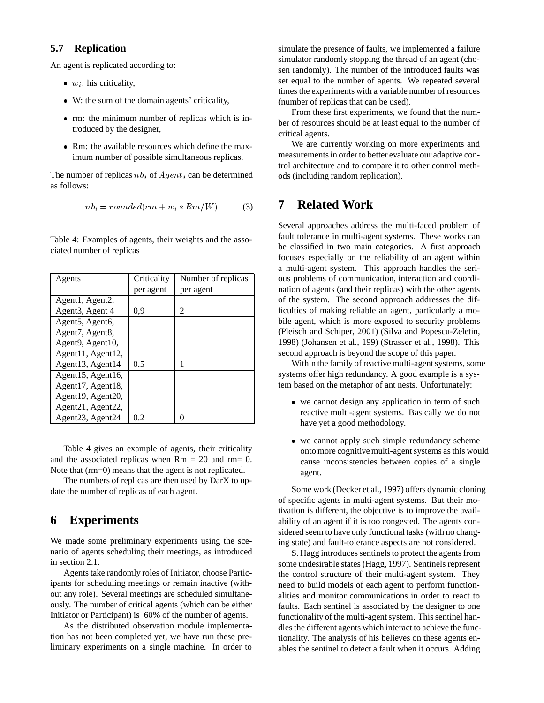#### **5.7 Replication**

An agent is replicated according to:

- $\bullet$   $w_i$ : his criticality,
- W: the sum of the domain agents' criticality,
- rm: the minimum number of replicas which is introduced by the designer,
- Rm: the available resources which define the maximum number of possible simultaneous replicas.

The number of replicas  $nb_i$  of  $Agent_i$  can be determined as follows:

$$
nb_i = rounded(rm + w_i * Rm/W)
$$
 (3)

Table 4: Examples of agents, their weights and the associated number of replicas

| Agents                                     | Criticality | Number of replicas |
|--------------------------------------------|-------------|--------------------|
|                                            | per agent   | per agent          |
| Agent1, Agent2,                            |             |                    |
| Agent <sub>3</sub> , Agent 4               | 0,9         | 2                  |
| Agent <sub>5</sub> , Agent <sub>6</sub> ,  |             |                    |
| Agent7, Agent8,                            |             |                    |
| Agent <sub>9</sub> , Agent <sub>10</sub> , |             |                    |
| Agent11, Agent12,                          |             |                    |
| Agent13, Agent14                           | 0.5         |                    |
| Agent15, Agent16,                          |             |                    |
| Agent17, Agent18,                          |             |                    |
| Agent19, Agent20,                          |             |                    |
| Agent21, Agent22,                          |             |                    |
| Agent <sub>23</sub> , Agent <sub>24</sub>  | 0.2         | 0                  |

Table 4 gives an example of agents, their criticality and the associated replicas when  $Rm = 20$  and  $rm = 0$ . Note that (rm=0) means that the agent is not replicated.

The numbers of replicas are then used by DarX to update the number of replicas of each agent.

## **6 Experiments**

We made some preliminary experiments using the scenario of agents scheduling their meetings, as introduced in section 2.1.

Agents take randomly roles of Initiator, choose Participants for scheduling meetings or remain inactive (without any role). Several meetings are scheduled simultaneously. The number of critical agents (which can be either Initiator or Participant) is 60% of the number of agents.

As the distributed observation module implementation has not been completed yet, we have run these preliminary experiments on a single machine. In order to simulate the presence of faults, we implemented a failure simulator randomly stopping the thread of an agent (chosen randomly). The number of the introduced faults was set equal to the number of agents. We repeated several times the experiments with a variable number of resources (number of replicas that can be used).

From these first experiments, we found that the number of resources should be at least equal to the number of critical agents.

We are currently working on more experiments and measurements in order to better evaluate our adaptive control architecture and to compare it to other control methods (including random replication).

## **7 Related Work**

Several approaches address the multi-faced problem of fault tolerance in multi-agent systems. These works can be classified in two main categories. A first approach focuses especially on the reliability of an agent within a multi-agent system. This approach handles the serious problems of communication, interaction and coordination of agents (and their replicas) with the other agents of the system. The second approach addresses the difficulties of making reliable an agent, particularly a mobile agent, which is more exposed to security problems (Pleisch and Schiper, 2001) (Silva and Popescu-Zeletin, 1998) (Johansen et al., 199) (Strasser et al., 1998). This second approach is beyond the scope of this paper.

Within the family of reactive multi-agent systems, some systems offer high redundancy. A good example is a system based on the metaphor of ant nests. Unfortunately:

- we cannot design any application in term of such reactive multi-agent systems. Basically we do not have yet a good methodology.
- we cannot apply such simple redundancy scheme onto more cognitive multi-agent systems as this would cause inconsistencies between copies of a single agent.

Some work (Decker et al., 1997) offers dynamic cloning of specific agents in multi-agent systems. But their motivation is different, the objective is to improve the availability of an agent if it is too congested. The agents considered seem to have only functional tasks (with no changing state) and fault-tolerance aspects are not considered.

S. Hagg introduces sentinels to protect the agents from some undesirable states (Hagg, 1997). Sentinels represent the control structure of their multi-agent system. They need to build models of each agent to perform functionalities and monitor communications in order to react to faults. Each sentinel is associated by the designer to one functionality of the multi-agent system. This sentinel handles the different agents which interact to achieve the functionality. The analysis of his believes on these agents enables the sentinel to detect a fault when it occurs. Adding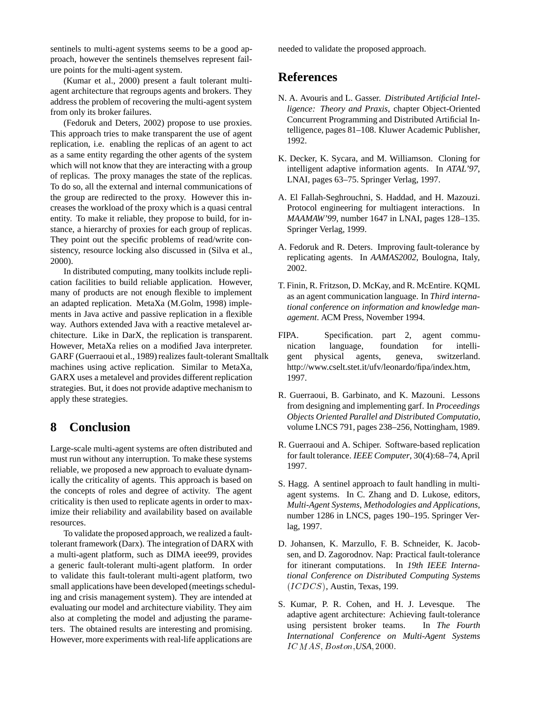sentinels to multi-agent systems seems to be a good approach, however the sentinels themselves represent failure points for the multi-agent system.

(Kumar et al., 2000) present a fault tolerant multiagent architecture that regroups agents and brokers. They address the problem of recovering the multi-agent system from only its broker failures.

(Fedoruk and Deters, 2002) propose to use proxies. This approach tries to make transparent the use of agent replication, i.e. enabling the replicas of an agent to act as a same entity regarding the other agents of the system which will not know that they are interacting with a group of replicas. The proxy manages the state of the replicas. To do so, all the external and internal communications of the group are redirected to the proxy. However this increases the workload of the proxy which is a quasi central entity. To make it reliable, they propose to build, for instance, a hierarchy of proxies for each group of replicas. They point out the specific problems of read/write consistency, resource locking also discussed in (Silva et al., 2000).

In distributed computing, many toolkits include replication facilities to build reliable application. However, many of products are not enough flexible to implement an adapted replication. MetaXa (M.Golm, 1998) implements in Java active and passive replication in a flexible way. Authors extended Java with a reactive metalevel architecture. Like in DarX, the replication is transparent. However, MetaXa relies on a modified Java interpreter. GARF (Guerraoui et al., 1989) realizes fault-tolerant Smalltalk machines using active replication. Similar to MetaXa, GARX uses a metalevel and provides different replication strategies. But, it does not provide adaptive mechanism to apply these strategies.

## **8 Conclusion**

Large-scale multi-agent systems are often distributed and must run without any interruption. To make these systems reliable, we proposed a new approach to evaluate dynamically the criticality of agents. This approach is based on the concepts of roles and degree of activity. The agent criticality is then used to replicate agents in order to maximize their reliability and availability based on available resources.

To validate the proposed approach, we realized a faulttolerant framework (Darx). The integration of DARX with a multi-agent platform, such as DIMA ieee99, provides a generic fault-tolerant multi-agent platform. In order to validate this fault-tolerant multi-agent platform, two small applications have been developed (meetings scheduling and crisis management system). They are intended at evaluating our model and architecture viability. They aim also at completing the model and adjusting the parameters. The obtained results are interesting and promising. However, more experiments with real-life applications are

needed to validate the proposed approach.

## **References**

- N. A. Avouris and L. Gasser. *Distributed Artificial Intelligence: Theory and Praxis*, chapter Object-Oriented Concurrent Programming and Distributed Artificial Intelligence, pages 81–108. Kluwer Academic Publisher, 1992.
- K. Decker, K. Sycara, and M. Williamson. Cloning for intelligent adaptive information agents. In *ATAL'97*, LNAI, pages 63–75. Springer Verlag, 1997.
- A. El Fallah-Seghrouchni, S. Haddad, and H. Mazouzi. Protocol engineering for multiagent interactions. In *MAAMAW'99*, number 1647 in LNAI, pages 128–135. Springer Verlag, 1999.
- A. Fedoruk and R. Deters. Improving fault-tolerance by replicating agents. In *AAMAS2002*, Boulogna, Italy, 2002.
- T. Finin, R. Fritzson, D. McKay, and R. McEntire. KQML as an agent communication language. In *Third international conference on information and knowledge management*. ACM Press, November 1994.
- FIPA. Specification. part 2, agent communication language, foundation for intelligent physical agents, geneva, switzerland. http://www.cselt.stet.it/ufv/leonardo/fipa/index.htm, 1997.
- R. Guerraoui, B. Garbinato, and K. Mazouni. Lessons from designing and implementing garf. In *Proceedings Objects Oriented Parallel and Distributed Computatio*, volume LNCS 791, pages 238–256, Nottingham, 1989.
- R. Guerraoui and A. Schiper. Software-based replication for fault tolerance. *IEEE Computer*, 30(4):68–74, April 1997.
- S. Hagg. A sentinel approach to fault handling in multiagent systems. In C. Zhang and D. Lukose, editors, *Multi-Agent Systems, Methodologies and Applications*, number 1286 in LNCS, pages 190–195. Springer Verlag, 1997.
- D. Johansen, K. Marzullo, F. B. Schneider, K. Jacobsen, and D. Zagorodnov. Nap: Practical fault-tolerance for itinerant computations. In *19th IEEE International Conference on Distributed Computing Systems* (ICDCS), Austin, Texas, 199.
- S. Kumar, P. R. Cohen, and H. J. Levesque. The adaptive agent architecture: Achieving fault-tolerance using persistent broker teams. In *The Fourth International Conference on Multi-Agent Systems* ICMAS ; Boston;*USA*; 2000: